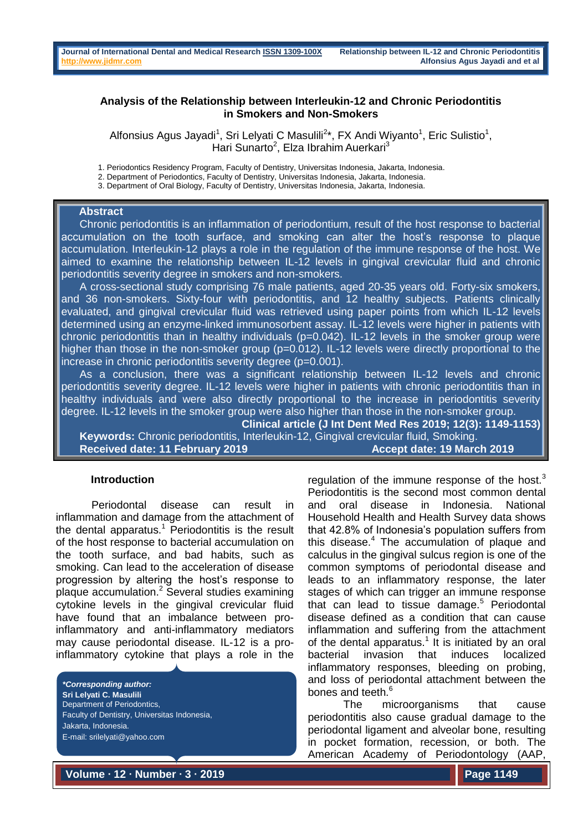# **Analysis of the Relationship between Interleukin-12 and Chronic Periodontitis in Smokers and Non-Smokers**

Alfonsius Agus Jayadi<sup>1</sup>, Sri Lelyati C Masulili<sup>2\*</sup>, FX Andi Wiyanto<sup>1</sup>, Eric Sulistio<sup>1</sup>, Hari Sunarto<sup>2</sup>, Elza Ibrahim Auerkari<sup>3</sup>

1. Periodontics Residency Program, Faculty of Dentistry, Universitas Indonesia, Jakarta, Indonesia.

2. Department of Periodontics, Faculty of Dentistry, Universitas Indonesia, Jakarta, Indonesia.

3. Department of Oral Biology, Faculty of Dentistry, Universitas Indonesia, Jakarta, Indonesia.

# **Abstract**

 Chronic periodontitis is an inflammation of periodontium, result of the host response to bacterial accumulation on the tooth surface, and smoking can alter the host's response to plaque accumulation. Interleukin-12 plays a role in the regulation of the immune response of the host. We aimed to examine the relationship between IL-12 levels in gingival crevicular fluid and chronic periodontitis severity degree in smokers and non-smokers.

 A cross-sectional study comprising 76 male patients, aged 20-35 years old. Forty-six smokers, and 36 non-smokers. Sixty-four with periodontitis, and 12 healthy subjects. Patients clinically evaluated, and gingival crevicular fluid was retrieved using paper points from which IL-12 levels determined using an enzyme-linked immunosorbent assay. IL-12 levels were higher in patients with chronic periodontitis than in healthy individuals (p=0.042). IL-12 levels in the smoker group were higher than those in the non-smoker group (p=0.012). IL-12 levels were directly proportional to the increase in chronic periodontitis severity degree (p=0.001).

 As a conclusion, there was a significant relationship between IL-12 levels and chronic periodontitis severity degree. IL-12 levels were higher in patients with chronic periodontitis than in healthy individuals and were also directly proportional to the increase in periodontitis severity degree. IL-12 levels in the smoker group were also higher than those in the non-smoker group.

**Clinical article (J Int Dent Med Res 2019; 12(3): 1149-1153) Keywords:** Chronic periodontitis, Interleukin-12, Gingival crevicular fluid, Smoking.

**Received date: 11 February 2019** Accept date: 19 March 2019

# **Introduction**

Periodontal disease can result in inflammation and damage from the attachment of the dental apparatus.<sup>1</sup> Periodontitis is the result of the host response to bacterial accumulation on the tooth surface, and bad habits, such as smoking. Can lead to the acceleration of disease progression by altering the host's response to plaque accumulation.<sup>2</sup> Several studies examining cytokine levels in the gingival crevicular fluid have found that an imbalance between proinflammatory and anti-inflammatory mediators may cause periodontal disease. IL-12 is a proinflammatory cytokine that plays a role in the

*\*Corresponding author:* **Sri Lelyati C. Masulili** Department of Periodontics, Faculty of Dentistry, Universitas Indonesia, Jakarta, Indonesia. E-mail: srilelyati@yahoo.com

regulation of the immune response of the host. $3$ Periodontitis is the second most common dental and oral disease in Indonesia. National Household Health and Health Survey data shows that 42.8% of Indonesia's population suffers from this disease.<sup>4</sup> The accumulation of plaque and calculus in the gingival sulcus region is one of the common symptoms of periodontal disease and leads to an inflammatory response, the later stages of which can trigger an immune response that can lead to tissue damage. $5$  Periodontal disease defined as a condition that can cause inflammation and suffering from the attachment of the dental apparatus.<sup>1</sup> It is initiated by an oral bacterial invasion that induces localized inflammatory responses, bleeding on probing, and loss of periodontal attachment between the bones and teeth.<sup>6</sup>

The microorganisms that cause periodontitis also cause gradual damage to the periodontal ligament and alveolar bone, resulting in pocket formation, recession, or both. The American Academy of Periodontology (AAP,

**Volume ∙ 12 ∙ Number ∙ 3 ∙ 2019**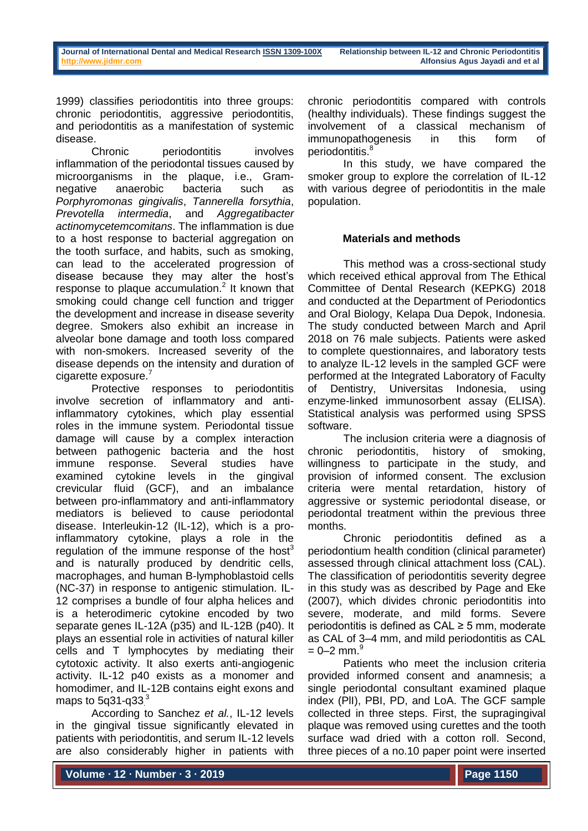1999) classifies periodontitis into three groups: chronic periodontitis, aggressive periodontitis, and periodontitis as a manifestation of systemic disease.

Chronic periodontitis involves inflammation of the periodontal tissues caused by microorganisms in the plaque, i.e., Gramnegative anaerobic bacteria such as *Porphyromonas gingivalis*, *Tannerella forsythia*, *Prevotella intermedia*, and *Aggregatibacter actinomycetemcomitans*. The inflammation is due to a host response to bacterial aggregation on the tooth surface, and habits, such as smoking, can lead to the accelerated progression of disease because they may alter the host's response to plaque accumulation. $<sup>2</sup>$  It known that</sup> smoking could change cell function and trigger the development and increase in disease severity degree. Smokers also exhibit an increase in alveolar bone damage and tooth loss compared with non-smokers. Increased severity of the disease depends on the intensity and duration of cigarette exposure.<sup>7</sup>

Protective responses to periodontitis involve secretion of inflammatory and antiinflammatory cytokines, which play essential roles in the immune system. Periodontal tissue damage will cause by a complex interaction between pathogenic bacteria and the host immune response. Several studies have examined cytokine levels in the gingival crevicular fluid (GCF), and an imbalance between pro-inflammatory and anti-inflammatory mediators is believed to cause periodontal disease. Interleukin-12 (IL-12), which is a proinflammatory cytokine, plays a role in the regulation of the immune response of the host<sup>3</sup> and is naturally produced by dendritic cells, macrophages, and human B-lymphoblastoid cells (NC-37) in response to antigenic stimulation. IL-12 comprises a bundle of four alpha helices and is a heterodimeric cytokine encoded by two separate genes IL-12A (p35) and IL-12B (p40). It plays an essential role in activities of natural killer cells and T lymphocytes by mediating their cytotoxic activity. It also exerts anti-angiogenic activity. IL-12 p40 exists as a monomer and homodimer, and IL-12B contains eight exons and maps to 5q31-q33 $^3$ 

According to Sanchez *et al.*, IL-12 levels in the gingival tissue significantly elevated in patients with periodontitis, and serum IL-12 levels are also considerably higher in patients with

chronic periodontitis compared with controls (healthy individuals). These findings suggest the involvement of a classical mechanism of immunopathogenesis in this form of periodontitis.<sup>8</sup>

In this study, we have compared the smoker group to explore the correlation of IL-12 with various degree of periodontitis in the male population.

# **Materials and methods**

This method was a cross-sectional study which received ethical approval from The Ethical Committee of Dental Research (KEPKG) 2018 and conducted at the Department of Periodontics and Oral Biology, Kelapa Dua Depok, Indonesia. The study conducted between March and April 2018 on 76 male subjects. Patients were asked to complete questionnaires, and laboratory tests to analyze IL-12 levels in the sampled GCF were performed at the Integrated Laboratory of Faculty of Dentistry, Universitas Indonesia, using enzyme-linked immunosorbent assay (ELISA). Statistical analysis was performed using SPSS software.

The inclusion criteria were a diagnosis of chronic periodontitis, history of smoking, willingness to participate in the study, and provision of informed consent. The exclusion criteria were mental retardation, history of aggressive or systemic periodontal disease, or periodontal treatment within the previous three months.

Chronic periodontitis defined as a periodontium health condition (clinical parameter) assessed through clinical attachment loss (CAL). The classification of periodontitis severity degree in this study was as described by Page and Eke (2007), which divides chronic periodontitis into severe, moderate, and mild forms. Severe periodontitis is defined as CAL ≥ 5 mm, moderate as CAL of 3–4 mm, and mild periodontitis as CAL  $= 0 - 2$  mm.<sup>9</sup>

Patients who meet the inclusion criteria provided informed consent and anamnesis; a single periodontal consultant examined plaque index (PlI), PBI, PD, and LoA. The GCF sample collected in three steps. First, the supragingival plaque was removed using curettes and the tooth surface wad dried with a cotton roll. Second, three pieces of a no.10 paper point were inserted

**Volume ∙ 12 ∙ Number ∙ 3 ∙ 2019**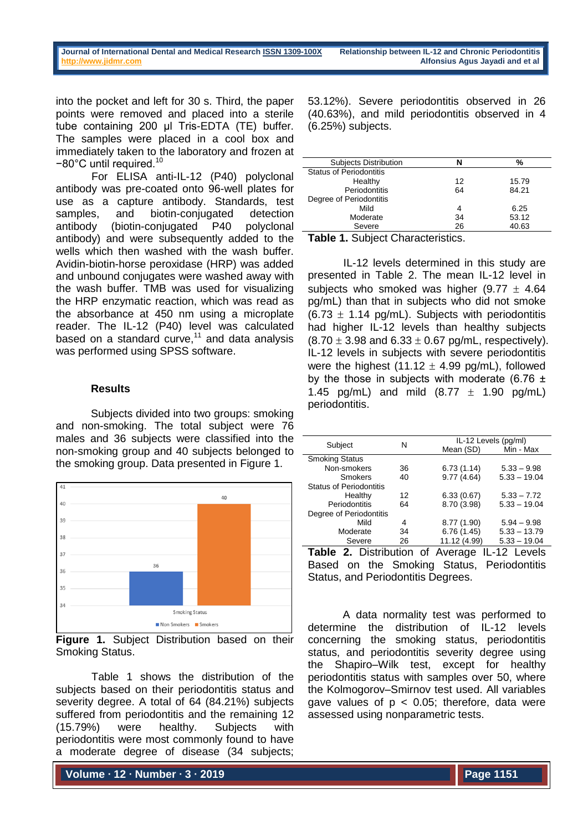into the pocket and left for 30 s. Third, the paper points were removed and placed into a sterile tube containing 200 µl Tris-EDTA (TE) buffer. The samples were placed in a cool box and immediately taken to the laboratory and frozen at −80°C until required.<sup>10</sup>

For ELISA anti-IL-12 (P40) polyclonal antibody was pre-coated onto 96-well plates for use as a capture antibody. Standards, test samples, and biotin-conjugated detection antibody (biotin-conjugated P40 polyclonal antibody) and were subsequently added to the wells which then washed with the wash buffer. Avidin-biotin-horse peroxidase (HRP) was added and unbound conjugates were washed away with the wash buffer. TMB was used for visualizing the HRP enzymatic reaction, which was read as the absorbance at 450 nm using a microplate reader. The IL-12 (P40) level was calculated based on a standard curve, $11$  and data analysis was performed using SPSS software.

# **Results**

Subjects divided into two groups: smoking and non-smoking. The total subject were 76 males and 36 subjects were classified into the non-smoking group and 40 subjects belonged to the smoking group. Data presented in Figure 1.



**Figure 1.** Subject Distribution based on their Smoking Status.

Table 1 shows the distribution of the subjects based on their periodontitis status and severity degree. A total of 64 (84.21%) subjects suffered from periodontitis and the remaining 12 (15.79%) were healthy. Subjects with periodontitis were most commonly found to have a moderate degree of disease (34 subjects;

**Volume ∙ 12 ∙ Number ∙ 3 ∙ 2019**

53.12%). Severe periodontitis observed in 26 (40.63%), and mild periodontitis observed in 4 (6.25%) subjects.

| <b>Subjects Distribution</b>   | N  | %     |
|--------------------------------|----|-------|
| <b>Status of Periodontitis</b> |    |       |
| Healthy                        | 12 | 15.79 |
| Periodontitis                  | 64 | 84.21 |
| Degree of Periodontitis        |    |       |
| Mild                           | 4  | 6.25  |
| Moderate                       | 34 | 53.12 |
| Severe                         | 26 | 40.63 |
|                                |    |       |

**Table 1.** Subject Characteristics.

IL-12 levels determined in this study are presented in Table 2. The mean IL-12 level in subjects who smoked was higher  $(9.77 \pm 4.64)$ pg/mL) than that in subjects who did not smoke  $(6.73 \pm 1.14 \text{ pq/mL})$ . Subjects with periodontitis had higher IL-12 levels than healthy subjects  $(8.70 \pm 3.98 \text{ and } 6.33 \pm 0.67 \text{ pq/mL}, \text{respectively}).$ IL-12 levels in subjects with severe periodontitis were the highest  $(11.12 \pm 4.99 \text{ pq/mL})$ , followed by the those in subjects with moderate (6.76  $\pm$ 1.45 pg/mL) and mild  $(8.77 \pm 1.90 \text{ pq/mL})$ periodontitis.

| Subject                                                 | N  |              | IL-12 Levels (pg/ml) |  |
|---------------------------------------------------------|----|--------------|----------------------|--|
|                                                         |    | Mean (SD)    | Min - Max            |  |
| <b>Smoking Status</b>                                   |    |              |                      |  |
| Non-smokers                                             | 36 | 6.73(1.14)   | $5.33 - 9.98$        |  |
| Smokers                                                 | 40 | 9.77(4.64)   | $5.33 - 19.04$       |  |
| <b>Status of Periodontitis</b>                          |    |              |                      |  |
| Healthy                                                 | 12 | 6.33(0.67)   | $5.33 - 7.72$        |  |
| Periodontitis                                           | 64 | 8.70 (3.98)  | $5.33 - 19.04$       |  |
| Degree of Periodontitis                                 |    |              |                      |  |
| Mild                                                    | 4  | 8.77 (1.90)  | $5.94 - 9.98$        |  |
| Moderate                                                | 34 | 6.76(1.45)   | $5.33 - 13.79$       |  |
| Severe                                                  | 26 | 11.12 (4.99) | $5.33 - 19.04$       |  |
| <b>Table 2.</b> Distribution of Average<br>IL-12 Levels |    |              |                      |  |
| Description that Occupied Office Designing the          |    |              |                      |  |

Based on the Smoking Status, Periodontitis Status, and Periodontitis Degrees.

A data normality test was performed to determine the distribution of IL-12 levels concerning the smoking status, periodontitis status, and periodontitis severity degree using the Shapiro–Wilk test, except for healthy periodontitis status with samples over 50, where the Kolmogorov–Smirnov test used. All variables gave values of  $p < 0.05$ ; therefore, data were assessed using nonparametric tests.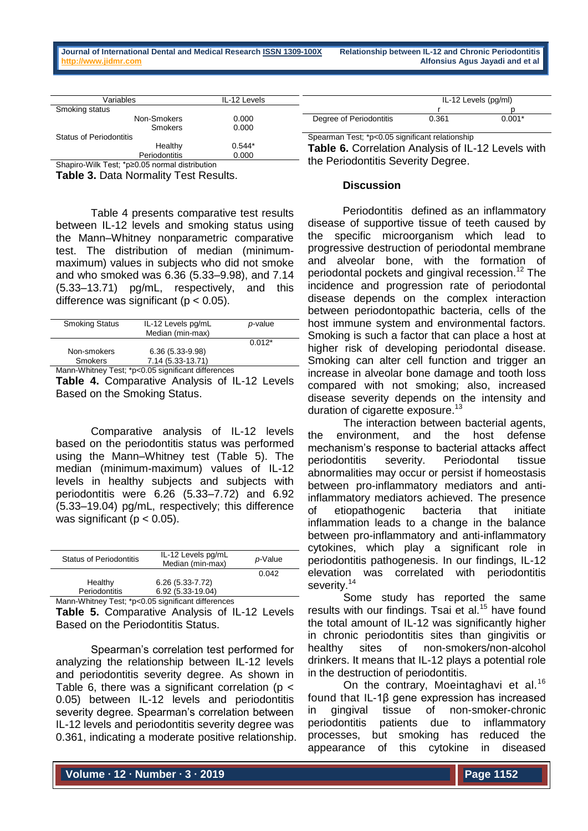| Variables                      | IL-12 Levels |                                                           |       | IL-12 Levels (pg/ml) |
|--------------------------------|--------------|-----------------------------------------------------------|-------|----------------------|
| Smoking status                 |              |                                                           |       |                      |
| Non-Smokers                    | 0.000        | Degree of Periodontitis                                   | 0.361 | $0.001*$             |
| Smokers                        | 0.000        |                                                           |       |                      |
| <b>Status of Periodontitis</b> |              | Spearman Test; *p<0.05 significant relationship           |       |                      |
| Healthy                        | $0.544*$     | <b>Table 6. Correlation Analysis of IL-12 Levels with</b> |       |                      |
| <b>Periodontitis</b>           | 0.000        | the Best death County Beauty                              |       |                      |

Shapiro-Wilk Test; \*p≥0.05 normal distribution

**Table 3.** Data Normality Test Results.

Table 4 presents comparative test results between IL-12 levels and smoking status using the Mann–Whitney nonparametric comparative test. The distribution of median (minimummaximum) values in subjects who did not smoke and who smoked was 6.36 (5.33–9.98), and 7.14 (5.33–13.71) pg/mL, respectively, and this difference was significant ( $p < 0.05$ ).

| <b>Smoking Status</b> | IL-12 Levels pg/mL | p-value  |  |
|-----------------------|--------------------|----------|--|
|                       | Median (min-max)   |          |  |
|                       |                    | $0.012*$ |  |
| Non-smokers           | $6.36(5.33-9.98)$  |          |  |
| <b>Smokers</b>        | 7.14 (5.33-13.71)  |          |  |
|                       |                    |          |  |

Mann-Whitney Test; \*p<0.05 significant differences

**Table 4.** Comparative Analysis of IL-12 Levels Based on the Smoking Status.

Comparative analysis of IL-12 levels based on the periodontitis status was performed using the Mann–Whitney test (Table 5). The median (minimum-maximum) values of IL-12 levels in healthy subjects and subjects with periodontitis were 6.26 (5.33–7.72) and 6.92 (5.33–19.04) pg/mL, respectively; this difference was significant ( $p < 0.05$ ).

| <b>Status of Periodontitis</b> | IL-12 Levels pg/mL<br>Median (min-max) | p-Value |
|--------------------------------|----------------------------------------|---------|
|                                |                                        | 0.042   |
| Healthy                        | $6.26(5.33 - 7.72)$                    |         |
| Periodontitis                  | 6.92 (5.33-19.04)                      |         |
|                                |                                        |         |

Mann-Whitney Test; \*p<0.05 significant differences **Table 5.** Comparative Analysis of IL-12 Levels

Based on the Periodontitis Status.

Spearman's correlation test performed for analyzing the relationship between IL-12 levels and periodontitis severity degree. As shown in Table 6, there was a significant correlation ( $p <$ 0.05) between IL-12 levels and periodontitis severity degree. Spearman's correlation between IL-12 levels and periodontitis severity degree was 0.361, indicating a moderate positive relationship. the Periodontitis Severity Degree.

# **Discussion**

Periodontitis defined as an inflammatory disease of supportive tissue of teeth caused by the specific microorganism which lead to progressive destruction of periodontal membrane and alveolar bone, with the formation of periodontal pockets and gingival recession.<sup>12</sup> The incidence and progression rate of periodontal disease depends on the complex interaction between periodontopathic bacteria, cells of the host immune system and environmental factors. Smoking is such a factor that can place a host at higher risk of developing periodontal disease. Smoking can alter cell function and trigger an increase in alveolar bone damage and tooth loss compared with not smoking; also, increased disease severity depends on the intensity and duration of cigarette exposure.<sup>13</sup>

The interaction between bacterial agents, the environment, and the host defense mechanism's response to bacterial attacks affect periodontitis severity. Periodontal tissue abnormalities may occur or persist if homeostasis between pro-inflammatory mediators and antiinflammatory mediators achieved. The presence of etiopathogenic bacteria that initiate inflammation leads to a change in the balance between pro-inflammatory and anti-inflammatory cytokines, which play a significant role in periodontitis pathogenesis. In our findings, IL-12 elevation was correlated with periodontitis severity.<sup>14</sup>

Some study has reported the same results with our findings. Tsai et al.<sup>15</sup> have found the total amount of IL-12 was significantly higher in chronic periodontitis sites than gingivitis or healthy sites of non-smokers/non-alcohol drinkers. It means that IL-12 plays a potential role in the destruction of periodontitis.

On the contrary, Moeintaghavi et al.<sup>16</sup> found that IL-1β gene expression has increased in gingival tissue of non-smoker-chronic periodontitis patients due to inflammatory processes, but smoking has reduced the appearance of this cytokine in diseased

**Volume ∙ 12 ∙ Number ∙ 3 ∙ 2019**